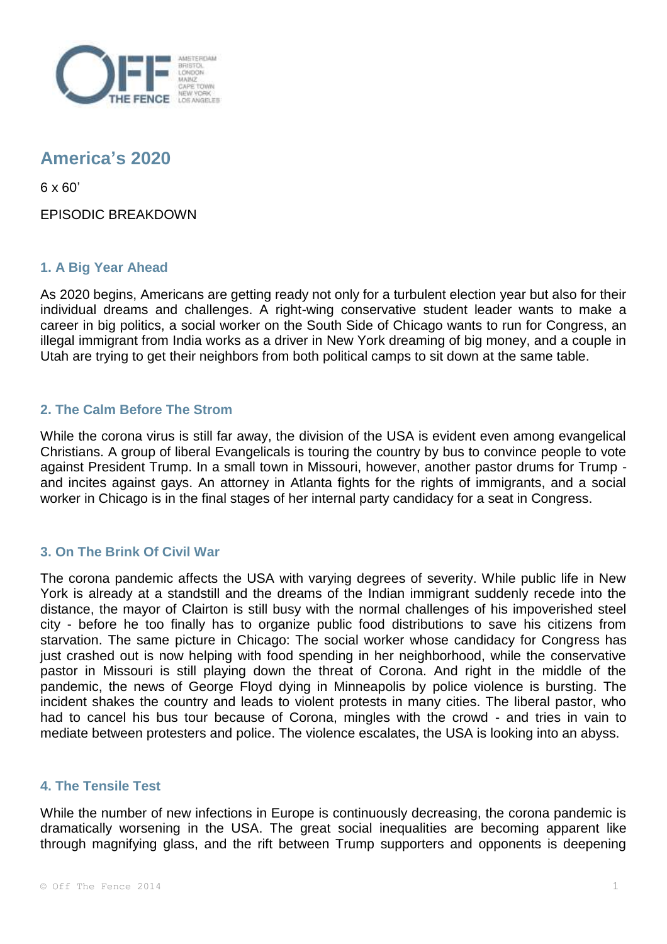

# **America's 2020**

6 x 60'

EPISODIC BREAKDOWN

## **1. A Big Year Ahead**

As 2020 begins, Americans are getting ready not only for a turbulent election year but also for their individual dreams and challenges. A right-wing conservative student leader wants to make a career in big politics, a social worker on the South Side of Chicago wants to run for Congress, an illegal immigrant from India works as a driver in New York dreaming of big money, and a couple in Utah are trying to get their neighbors from both political camps to sit down at the same table.

## **2. The Calm Before The Strom**

While the corona virus is still far away, the division of the USA is evident even among evangelical Christians. A group of liberal Evangelicals is touring the country by bus to convince people to vote against President Trump. In a small town in Missouri, however, another pastor drums for Trump and incites against gays. An attorney in Atlanta fights for the rights of immigrants, and a social worker in Chicago is in the final stages of her internal party candidacy for a seat in Congress.

## **3. On The Brink Of Civil War**

The corona pandemic affects the USA with varying degrees of severity. While public life in New York is already at a standstill and the dreams of the Indian immigrant suddenly recede into the distance, the mayor of Clairton is still busy with the normal challenges of his impoverished steel city - before he too finally has to organize public food distributions to save his citizens from starvation. The same picture in Chicago: The social worker whose candidacy for Congress has just crashed out is now helping with food spending in her neighborhood, while the conservative pastor in Missouri is still playing down the threat of Corona. And right in the middle of the pandemic, the news of George Floyd dying in Minneapolis by police violence is bursting. The incident shakes the country and leads to violent protests in many cities. The liberal pastor, who had to cancel his bus tour because of Corona, mingles with the crowd - and tries in vain to mediate between protesters and police. The violence escalates, the USA is looking into an abyss.

#### **4. The Tensile Test**

While the number of new infections in Europe is continuously decreasing, the corona pandemic is dramatically worsening in the USA. The great social inequalities are becoming apparent like through magnifying glass, and the rift between Trump supporters and opponents is deepening